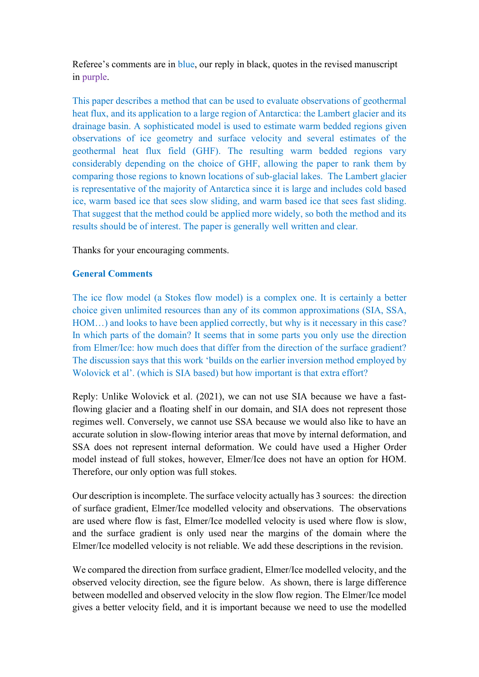Referee's comments are in blue, our reply in black, quotes in the revised manuscript in purple.

This paper describes a method that can be used to evaluate observations of geothermal heat flux, and its application to a large region of Antarctica: the Lambert glacier and its drainage basin. A sophisticated model is used to estimate warm bedded regions given observations of ice geometry and surface velocity and several estimates of the geothermal heat flux field (GHF). The resulting warm bedded regions vary considerably depending on the choice of GHF, allowing the paper to rank them by comparing those regions to known locations of sub-glacial lakes. The Lambert glacier is representative of the majority of Antarctica since it is large and includes cold based ice, warm based ice that sees slow sliding, and warm based ice that sees fast sliding. That suggest that the method could be applied more widely, so both the method and its results should be of interest. The paper is generally well written and clear.

Thanks for your encouraging comments.

## General Comments

The ice flow model (a Stokes flow model) is a complex one. It is certainly a better choice given unlimited resources than any of its common approximations (SIA, SSA, HOM…) and looks to have been applied correctly, but why is it necessary in this case? In which parts of the domain? It seems that in some parts you only use the direction from Elmer/Ice: how much does that differ from the direction of the surface gradient? The discussion says that this work 'builds on the earlier inversion method employed by Wolovick et al'. (which is SIA based) but how important is that extra effort?

Reply: Unlike Wolovick et al. (2021), we can not use SIA because we have a fastflowing glacier and a floating shelf in our domain, and SIA does not represent those regimes well. Conversely, we cannot use SSA because we would also like to have an accurate solution in slow-flowing interior areas that move by internal deformation, and SSA does not represent internal deformation. We could have used a Higher Order model instead of full stokes, however, Elmer/Ice does not have an option for HOM. Therefore, our only option was full stokes.

Our description is incomplete. The surface velocity actually has 3 sources: the direction of surface gradient, Elmer/Ice modelled velocity and observations. The observations are used where flow is fast, Elmer/Ice modelled velocity is used where flow is slow, and the surface gradient is only used near the margins of the domain where the Elmer/Ice modelled velocity is not reliable. We add these descriptions in the revision.

We compared the direction from surface gradient, Elmer/Ice modelled velocity, and the observed velocity direction, see the figure below. As shown, there is large difference between modelled and observed velocity in the slow flow region. The Elmer/Ice model gives a better velocity field, and it is important because we need to use the modelled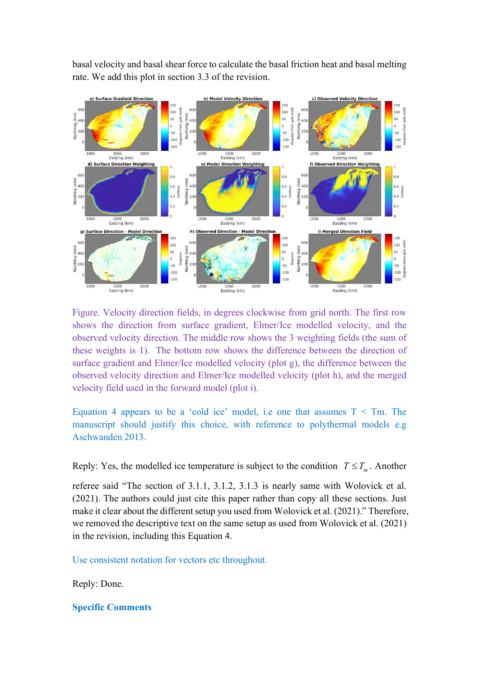basal velocity and basal shear force to calculate the basal friction heat and basal melting rate. We add this plot in section 3.3 of the revision.



Figure. Velocity direction fields, in degrees clockwise from grid north. The first row shows the direction from surface gradient, Elmer/Ice modelled velocity, and the observed velocity direction. The middle row shows the 3 weighting fields (the sum of these weights is 1). The bottom row shows the difference between the direction of surface gradient and Elmer/Ice modelled velocity (plot g), the difference between the observed velocity direction and Elmer/Ice modelled velocity (plot h), and the merged velocity field used in the forward model (plot i).

Equation 4 appears to be a 'cold ice' model, i.e one that assumes  $T < Tm$ . The manuscript should justify this choice, with reference to polythermal models e.g Aschwanden 2013.

Reply: Yes, the modelled ice temperature is subject to the condition  $T \leq T_m$ . Another

referee said "The section of 3.1.1, 3.1.2, 3.1.3 is nearly same with Wolovick et al. (2021). The authors could just cite this paper rather than copy all these sections. Just make it clear about the different setup you used from Wolovick et al. (2021)." Therefore, we removed the descriptive text on the same setup as used from Wolovick et al. (2021) in the revision, including this Equation 4.

Use consistent notation for vectors etc throughout.

Reply: Done.

## Specific Comments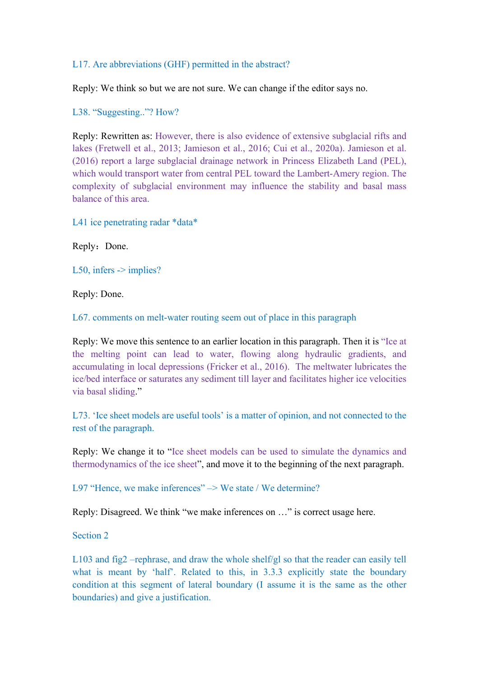## L17. Are abbreviations (GHF) permitted in the abstract?

Reply: We think so but we are not sure. We can change if the editor says no.

L38. "Suggesting.."? How?

Reply: Rewritten as: However, there is also evidence of extensive subglacial rifts and lakes (Fretwell et al., 2013; Jamieson et al., 2016; Cui et al., 2020a). Jamieson et al. (2016) report a large subglacial drainage network in Princess Elizabeth Land (PEL), which would transport water from central PEL toward the Lambert-Amery region. The complexity of subglacial environment may influence the stability and basal mass balance of this area.

L41 ice penetrating radar \*data\*

Reply: Done.

L50, infers  $\rightarrow$  implies?

Reply: Done.

L67. comments on melt-water routing seem out of place in this paragraph

Reply: We move this sentence to an earlier location in this paragraph. Then it is "Ice at the melting point can lead to water, flowing along hydraulic gradients, and accumulating in local depressions (Fricker et al., 2016). The meltwater lubricates the ice/bed interface or saturates any sediment till layer and facilitates higher ice velocities via basal sliding."

L73. 'Ice sheet models are useful tools' is a matter of opinion, and not connected to the rest of the paragraph.

Reply: We change it to "Ice sheet models can be used to simulate the dynamics and thermodynamics of the ice sheet", and move it to the beginning of the next paragraph.

L97 "Hence, we make inferences"  $\rightarrow$  We state / We determine?

Reply: Disagreed. We think "we make inferences on …" is correct usage here.

Section 2

L103 and fig2 –rephrase, and draw the whole shelf/gl so that the reader can easily tell what is meant by 'half'. Related to this, in 3.3.3 explicitly state the boundary condition at this segment of lateral boundary (I assume it is the same as the other boundaries) and give a justification.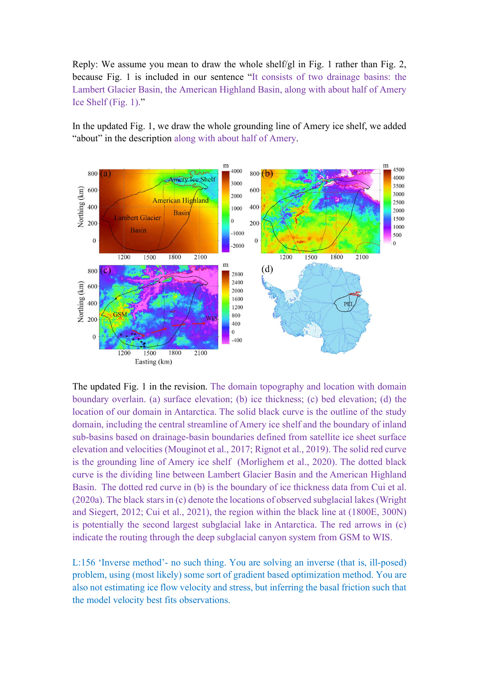Reply: We assume you mean to draw the whole shelf/gl in Fig. 1 rather than Fig. 2, because Fig. 1 is included in our sentence "It consists of two drainage basins: the Lambert Glacier Basin, the American Highland Basin, along with about half of Amery Ice Shelf (Fig. 1)."

In the updated Fig. 1, we draw the whole grounding line of Amery ice shelf, we added "about" in the description along with about half of Amery.



The updated Fig. 1 in the revision. The domain topography and location with domain boundary overlain. (a) surface elevation; (b) ice thickness; (c) bed elevation; (d) the location of our domain in Antarctica. The solid black curve is the outline of the study domain, including the central streamline of Amery ice shelf and the boundary of inland sub-basins based on drainage-basin boundaries defined from satellite ice sheet surface elevation and velocities (Mouginot et al., 2017; Rignot et al., 2019). The solid red curve is the grounding line of Amery ice shelf (Morlighem et al., 2020). The dotted black curve is the dividing line between Lambert Glacier Basin and the American Highland Basin. The dotted red curve in (b) is the boundary of ice thickness data from Cui et al. (2020a). The black stars in (c) denote the locations of observed subglacial lakes (Wright and Siegert, 2012; Cui et al., 2021), the region within the black line at (1800E, 300N) is potentially the second largest subglacial lake in Antarctica. The red arrows in (c) indicate the routing through the deep subglacial canyon system from GSM to WIS.

L:156 'Inverse method'- no such thing. You are solving an inverse (that is, ill-posed) problem, using (most likely) some sort of gradient based optimization method. You are also not estimating ice flow velocity and stress, but inferring the basal friction such that the model velocity best fits observations.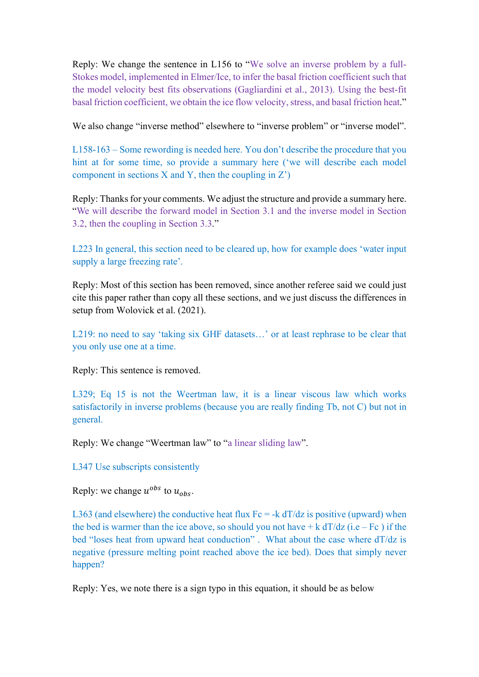Reply: We change the sentence in L156 to "We solve an inverse problem by a full-Stokes model, implemented in Elmer/Ice, to infer the basal friction coefficient such that the model velocity best fits observations (Gagliardini et al., 2013). Using the best-fit basal friction coefficient, we obtain the ice flow velocity, stress, and basal friction heat."

We also change "inverse method" elsewhere to "inverse problem" or "inverse model".

L158-163 – Some rewording is needed here. You don't describe the procedure that you hint at for some time, so provide a summary here ('we will describe each model component in sections  $X$  and  $Y$ , then the coupling in  $Z'$ )

Reply: Thanks for your comments. We adjust the structure and provide a summary here. "We will describe the forward model in Section 3.1 and the inverse model in Section 3.2, then the coupling in Section 3.3."

L223 In general, this section need to be cleared up, how for example does 'water input supply a large freezing rate'.

Reply: Most of this section has been removed, since another referee said we could just cite this paper rather than copy all these sections, and we just discuss the differences in setup from Wolovick et al. (2021).

L219: no need to say 'taking six GHF datasets...' or at least rephrase to be clear that you only use one at a time.

Reply: This sentence is removed.

L329; Eq 15 is not the Weertman law, it is a linear viscous law which works satisfactorily in inverse problems (because you are really finding Tb, not C) but not in general.

Reply: We change "Weertman law" to "a linear sliding law".

L347 Use subscripts consistently

Reply: we change  $u^{obs}$  to  $u_{obs}$ .

L363 (and elsewhere) the conductive heat flux  $Fc = -k dT/dz$  is positive (upward) when the bed is warmer than the ice above, so should you not have  $+ k dT/dz$  (i.e – Fc) if the bed "loses heat from upward heat conduction" . What about the case where dT/dz is negative (pressure melting point reached above the ice bed). Does that simply never happen?

Reply: Yes, we note there is a sign typo in this equation, it should be as below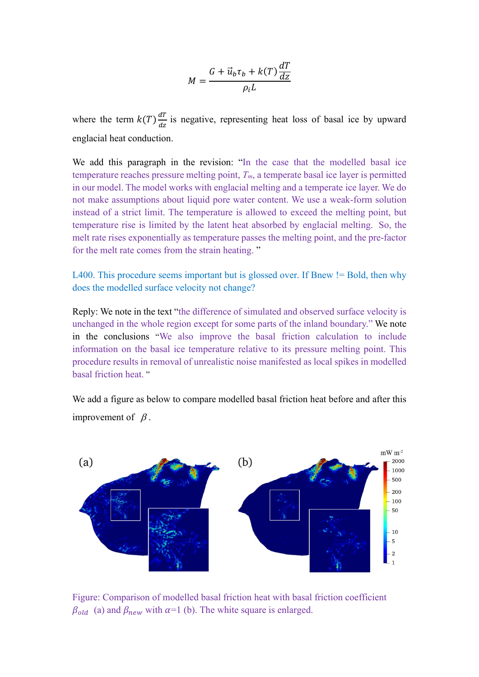$$
M = \frac{G + \vec{u}_b \tau_b + k(T) \frac{dT}{dz}}{\rho_i L}
$$

where the term  $k(T) \frac{dT}{dr}$  $\frac{du}{dz}$  is negative, representing heat loss of basal ice by upward englacial heat conduction.

We add this paragraph in the revision: "In the case that the modelled basal ice temperature reaches pressure melting point,  $T_m$ , a temperate basal ice layer is permitted in our model. The model works with englacial melting and a temperate ice layer. We do not make assumptions about liquid pore water content. We use a weak-form solution instead of a strict limit. The temperature is allowed to exceed the melting point, but temperature rise is limited by the latent heat absorbed by englacial melting. So, the melt rate rises exponentially as temperature passes the melting point, and the pre-factor for the melt rate comes from the strain heating. "

L400. This procedure seems important but is glossed over. If Bnew != Bold, then why does the modelled surface velocity not change?

Reply: We note in the text "the difference of simulated and observed surface velocity is unchanged in the whole region except for some parts of the inland boundary." We note in the conclusions "We also improve the basal friction calculation to include information on the basal ice temperature relative to its pressure melting point. This procedure results in removal of unrealistic noise manifested as local spikes in modelled basal friction heat. "

We add a figure as below to compare modelled basal friction heat before and after this improvement of  $\beta$ .



Figure: Comparison of modelled basal friction heat with basal friction coefficient  $\beta_{old}$  (a) and  $\beta_{new}$  with  $\alpha=1$  (b). The white square is enlarged.